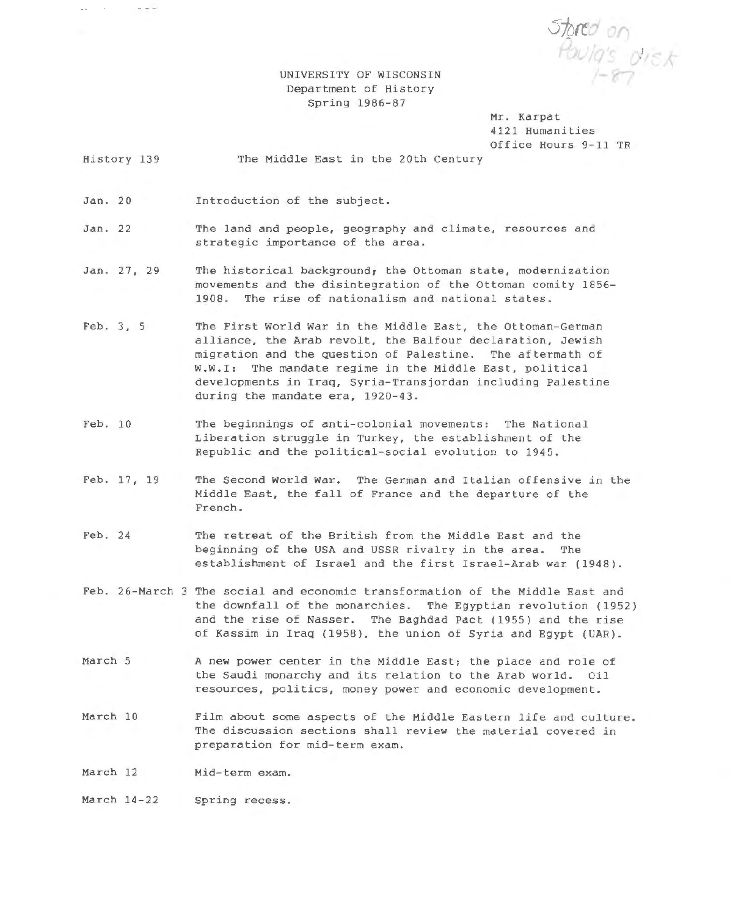Stored on<br>Poula's disk

UNIVERSITY OF WISCONSIN Department of History Spring 1986-87

> Mr. Karpat 4121 Humanities Office Hours 9-11 TR

History 139 The Middle East in the 20th Century

Jan. 20 Introduction of the subject .

 $\mathcal{L}_{\mathbf{A}}$  , and  $\mathcal{L}_{\mathbf{A}}$ 

 $\qquad \qquad -$ 

Jan. 22 The land and people, geography and climate, resources and strategic importance of the area .

- Jan. 27, 29 The historical background; the Ottoman state, modernization movements and the disintegration of the Ottoman comity 1856-1908. The rise of nationalism and national states.
- Feb. 3, 5 The First World War in the Middle East, the Ottoman-German alliance, the Arab revolt, the Balfour declaration, Jewish migration and the question of Palestine. The aftermath of W.W.I: The mandate regime *in* the Middle East, political developments *in* Iraq, Syria-Transjordan including Palestine during the mandate era, 1920-43.
- Feb. 10 The beginnings of anti-colonial movements: The National Liberation struggle in Turkey, the establishment of the Republic and the political-social evolution to 1945.
- Feb. 17, 19 The Second World War. The German and Italian offensive *in* the Middle East, the fall of France and the departure of the French.
- Feb. 24 The retreat of the British from the Middle East and the beginning of the USA and USSR rivalry in the area. The establishment of Israel and the first Israel-Arab war (1948).
- Feb. 26-March 3 The social and economic transformation of the Middle East and the downfall of the monarchies. The Egyptian revolution (1952) and the rise of Nasser. The Baghdad Pact (1955) and the rise of Kassim *in* Iraq (1958), the union of Syria and Egypt (UAR).
- March 5 A new power center in the Middle East; the place and role of the Saudi monarchy and its relation to the Arab world. *Oil*  resources, politics, money power and economic development.
- March 10 Film about some aspects of the Middle Eastern life and culture. The discussion sections shall review the material covered in preparation for mid-term exam.

March 12 Mid-term exam.

March 14-22 Spring recess.